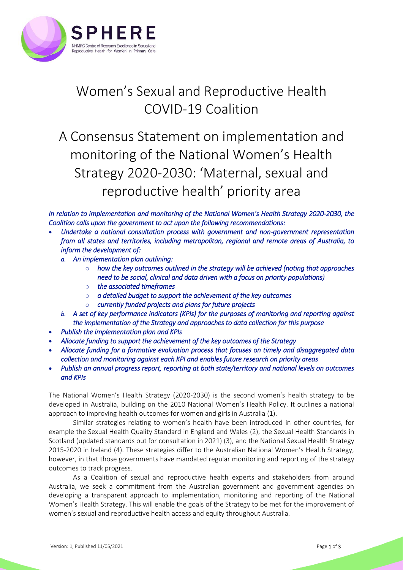

## Women's Sexual and Reproductive Health COVID-19 Coalition

A Consensus Statement on implementation and monitoring of the National Women's Health Strategy 2020-2030: 'Maternal, sexual and reproductive health' priority area

*In relation to implementation and monitoring of the National Women's Health Strategy 2020-2030, the Coalition calls upon the government to act upon the following recommendations:* 

- *Undertake a national consultation process with government and non-government representation from all states and territories, including metropolitan, regional and remote areas of Australia, to inform the development of:* 
	- *a. An implementation plan outlining:* 
		- o *how the key outcomes outlined in the strategy will be achieved (noting that approaches need to be social, clinical and data driven with a focus on priority populations)*
		- o *the associated timeframes*
		- o *a detailed budget to support the achievement of the key outcomes*
		- o *currently funded projects and plans for future projects*
	- *b. A set of key performance indicators (KPIs) for the purposes of monitoring and reporting against the implementation of the Strategy and approaches to data collection for this purpose*
- *Publish the implementation plan and KPIs*
- *Allocate funding to support the achievement of the key outcomes of the Strategy*
- *Allocate funding for a formative evaluation process that focuses on timely and disaggregated data collection and monitoring against each KPI and enables future research on priority areas*
- *Publish an annual progress report, reporting at both state/territory and national levels on outcomes and KPIs*

The National Women's Health Strategy (2020-2030) is the second women's health strategy to be developed in Australia, building on the 2010 National Women's Health Policy. It outlines a national approach to improving health outcomes for women and girls in Australia (1).

Similar strategies relating to women's health have been introduced in other countries, for example the Sexual Health Quality Standard in England and Wales (2), the Sexual Health Standards in Scotland (updated standards out for consultation in 2021) (3), and the National Sexual Health Strategy 2015-2020 in Ireland (4). These strategies differ to the Australian National Women's Health Strategy, however, in that those governments have mandated regular monitoring and reporting of the strategy outcomes to track progress.

As a Coalition of sexual and reproductive health experts and stakeholders from around Australia, we seek a commitment from the Australian government and government agencies on developing a transparent approach to implementation, monitoring and reporting of the National Women's Health Strategy. This will enable the goals of the Strategy to be met for the improvement of women's sexual and reproductive health access and equity throughout Australia.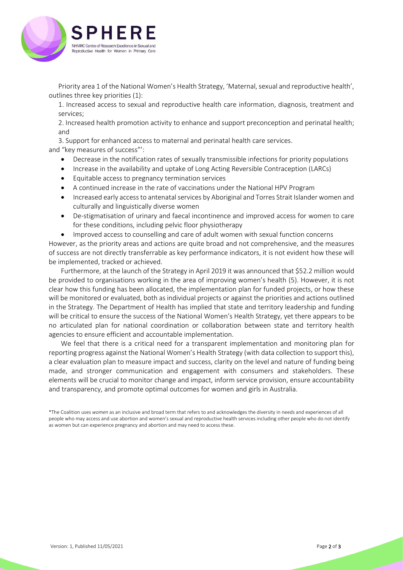

Priority area 1 of the National Women's Health Strategy, 'Maternal, sexual and reproductive health', outlines three key priorities (1):

1. Increased access to sexual and reproductive health care information, diagnosis, treatment and services;

2. Increased health promotion activity to enhance and support preconception and perinatal health; and

3. Support for enhanced access to maternal and perinatal health care services. and "key measures of success"':

- Decrease in the notification rates of sexually transmissible infections for priority populations
- Increase in the availability and uptake of Long Acting Reversible Contraception (LARCs)
- Equitable access to pregnancy termination services
- A continued increase in the rate of vaccinations under the National HPV Program
- Increased early access to antenatal services by Aboriginal and Torres Strait Islander women and culturally and linguistically diverse women
- De-stigmatisation of urinary and faecal incontinence and improved access for women to care for these conditions, including pelvic floor physiotherapy
- Improved access to counselling and care of adult women with sexual function concerns

However, as the priority areas and actions are quite broad and not comprehensive, and the measures of success are not directly transferrable as key performance indicators, it is not evident how these will be implemented, tracked or achieved.

Furthermore, at the launch of the Strategy in April 2019 it was announced that \$52.2 million would be provided to organisations working in the area of improving women's health (5). However, it is not clear how this funding has been allocated, the implementation plan for funded projects, or how these will be monitored or evaluated, both as individual projects or against the priorities and actions outlined in the Strategy. The Department of Health has implied that state and territory leadership and funding will be critical to ensure the success of the National Women's Health Strategy, yet there appears to be no articulated plan for national coordination or collaboration between state and territory health agencies to ensure efficient and accountable implementation.

We feel that there is a critical need for a transparent implementation and monitoring plan for reporting progress against the National Women's Health Strategy (with data collection to support this), a clear evaluation plan to measure impact and success, clarity on the level and nature of funding being made, and stronger communication and engagement with consumers and stakeholders. These elements will be crucial to monitor change and impact, inform service provision, ensure accountability and transparency, and promote optimal outcomes for women and girls in Australia.

\*The Coalition uses *women* as an inclusive and broad term that refers to and acknowledges the diversity in needs and experiences of all people who may access and use abortion and women's sexual and reproductive health services including other people who do not identify as women but can experience pregnancy and abortion and may need to access these.